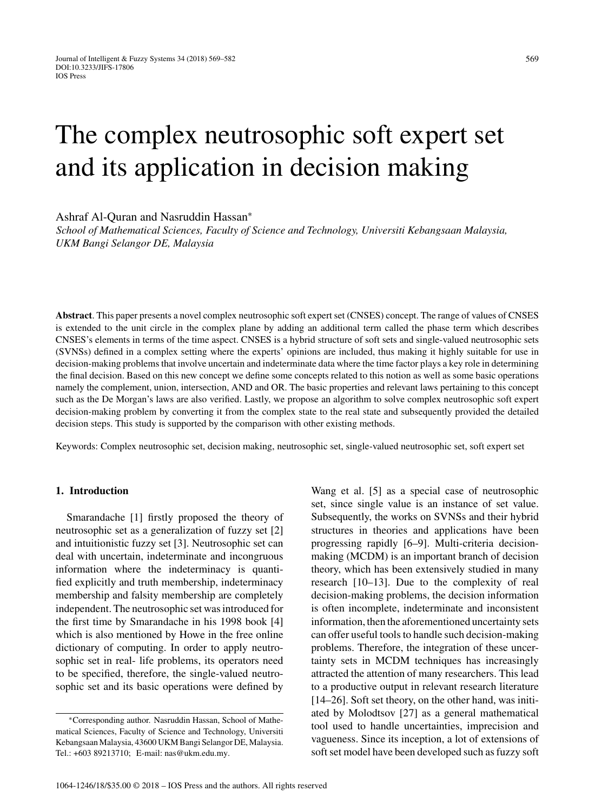# The complex neutrosophic soft expert set and its application in decision making

Ashraf Al-Quran and Nasruddin Hassan<sup>∗</sup>

*School of Mathematical Sciences, Faculty of Science and Technology, Universiti Kebangsaan Malaysia, UKM Bangi Selangor DE, Malaysia*

**Abstract**. This paper presents a novel complex neutrosophic soft expert set (CNSES) concept. The range of values of CNSES is extended to the unit circle in the complex plane by adding an additional term called the phase term which describes CNSES's elements in terms of the time aspect. CNSES is a hybrid structure of soft sets and single-valued neutrosophic sets (SVNSs) defined in a complex setting where the experts' opinions are included, thus making it highly suitable for use in decision-making problems that involve uncertain and indeterminate data where the time factor plays a key role in determining the final decision. Based on this new concept we define some concepts related to this notion as well as some basic operations namely the complement, union, intersection, AND and OR. The basic properties and relevant laws pertaining to this concept such as the De Morgan's laws are also verified. Lastly, we propose an algorithm to solve complex neutrosophic soft expert decision-making problem by converting it from the complex state to the real state and subsequently provided the detailed decision steps. This study is supported by the comparison with other existing methods.

Keywords: Complex neutrosophic set, decision making, neutrosophic set, single-valued neutrosophic set, soft expert set

#### **1. Introduction**

Smarandache [1] firstly proposed the theory of neutrosophic set as a generalization of fuzzy set [2] and intuitionistic fuzzy set [3]. Neutrosophic set can deal with uncertain, indeterminate and incongruous information where the indeterminacy is quantified explicitly and truth membership, indeterminacy membership and falsity membership are completely independent. The neutrosophic set was introduced for the first time by Smarandache in his 1998 book [4] which is also mentioned by Howe in the free online dictionary of computing. In order to apply neutrosophic set in real- life problems, its operators need to be specified, therefore, the single-valued neutrosophic set and its basic operations were defined by

Wang et al. [5] as a special case of neutrosophic set, since single value is an instance of set value. Subsequently, the works on SVNSs and their hybrid structures in theories and applications have been progressing rapidly [6–9]. Multi-criteria decisionmaking (MCDM) is an important branch of decision theory, which has been extensively studied in many research [10–13]. Due to the complexity of real decision-making problems, the decision information is often incomplete, indeterminate and inconsistent information, then the aforementioned uncertainty sets can offer useful tools to handle such decision-making problems. Therefore, the integration of these uncertainty sets in MCDM techniques has increasingly attracted the attention of many researchers. This lead to a productive output in relevant research literature [14–26]. Soft set theory, on the other hand, was initiated by Molodtsov [27] as a general mathematical tool used to handle uncertainties, imprecision and vagueness. Since its inception, a lot of extensions of soft set model have been developed such as fuzzy soft

<sup>∗</sup>Corresponding author. Nasruddin Hassan, School of Mathematical Sciences, Faculty of Science and Technology, Universiti Kebangsaan Malaysia, 43600 UKM Bangi Selangor DE, Malaysia. Tel.: +603 89213710; E-mail: [nas@ukm.edu.my](mailto:nas@ukm.edu.my).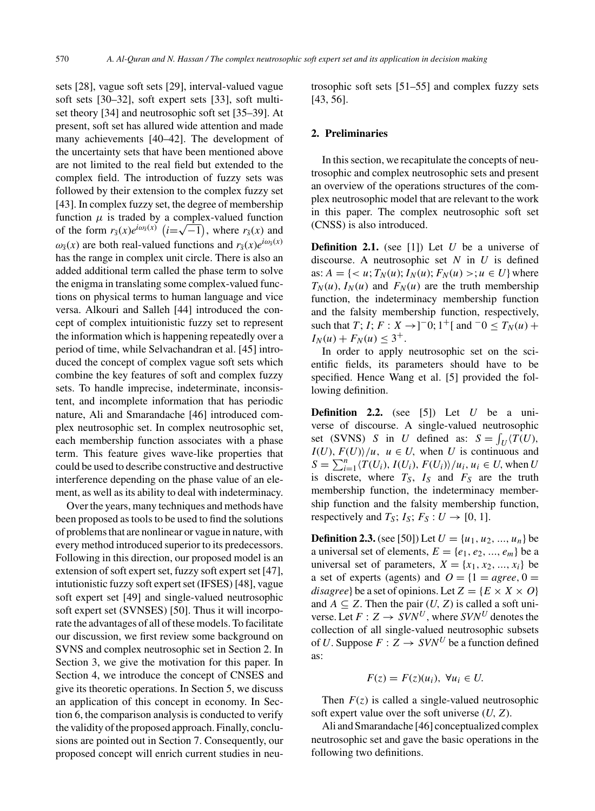sets [28], vague soft sets [29], interval-valued vague soft sets [30–32], soft expert sets [33], soft multiset theory [34] and neutrosophic soft set [35–39]. At present, soft set has allured wide attention and made many achievements [40–42]. The development of the uncertainty sets that have been mentioned above are not limited to the real field but extended to the complex field. The introduction of fuzzy sets was followed by their extension to the complex fuzzy set [43]. In complex fuzzy set, the degree of membership function  $\mu$  is traded by a complex-valued function function  $\mu$  is traded by a complex-valued function<br>of the form  $r_{\bar{s}}(x)e^{i\omega_{\bar{s}}(x)}$   $(i=\sqrt{-1})$ , where  $r_{\bar{s}}(x)$  and  $\omega_{\tilde{\sigma}}(x)$  are both real-valued functions and  $r_{\tilde{\sigma}}(x)e^{i\omega_{\tilde{\sigma}}(x)}$ has the range in complex unit circle. There is also an added additional term called the phase term to solve the enigma in translating some complex-valued functions on physical terms to human language and vice versa. Alkouri and Salleh [44] introduced the concept of complex intuitionistic fuzzy set to represent the information which is happening repeatedly over a period of time, while Selvachandran et al. [45] introduced the concept of complex vague soft sets which combine the key features of soft and complex fuzzy sets. To handle imprecise, indeterminate, inconsistent, and incomplete information that has periodic nature, Ali and Smarandache [46] introduced complex neutrosophic set. In complex neutrosophic set, each membership function associates with a phase term. This feature gives wave-like properties that could be used to describe constructive and destructive interference depending on the phase value of an element, as well as its ability to deal with indeterminacy.

Over the years, many techniques and methods have been proposed as tools to be used to find the solutions of problems that are nonlinear or vague in nature, with every method introduced superior to its predecessors. Following in this direction, our proposed model is an extension of soft expert set, fuzzy soft expert set [47], intutionistic fuzzy soft expert set (IFSES) [48], vague soft expert set [49] and single-valued neutrosophic soft expert set (SVNSES) [50]. Thus it will incorporate the advantages of all of these models. To facilitate our discussion, we first review some background on SVNS and complex neutrosophic set in Section 2. In Section 3, we give the motivation for this paper. In Section 4, we introduce the concept of CNSES and give its theoretic operations. In Section 5, we discuss an application of this concept in economy. In Section 6, the comparison analysis is conducted to verify the validity of the proposed approach. Finally, conclusions are pointed out in Section 7. Consequently, our proposed concept will enrich current studies in neutrosophic soft sets [51–55] and complex fuzzy sets [43, 56].

# **2. Preliminaries**

In this section, we recapitulate the concepts of neutrosophic and complex neutrosophic sets and present an overview of the operations structures of the complex neutrosophic model that are relevant to the work in this paper. The complex neutrosophic soft set (CNSS) is also introduced.

**Definition 2.1.** (see [1]) Let  $U$  be a universe of discourse. A neutrosophic set  $N$  in  $U$  is defined as:  $A = \{ \langle u, T_N(u); I_N(u); F_N(u) \rangle ; u \in U \}$  where  $T_N(u)$ ,  $I_N(u)$  and  $F_N(u)$  are the truth membership function, the indeterminacy membership function and the falsity membership function, respectively, such that *T*; *I*; *F* : *X*  $\rightarrow$  ]<sup>-</sup>0; 1<sup>+</sup>[ and <sup>-</sup>0  $\le$  *T<sub>N</sub>*(*u*) +  $I_N(u) + F_N(u) \leq 3^+$ .

In order to apply neutrosophic set on the scientific fields, its parameters should have to be specified. Hence Wang et al. [5] provided the following definition.

**Definition 2.2.** (see [5]) Let  $U$  be a universe of discourse. A single-valued neutrosophic set (SVNS) S in U defined as:  $S = \int_U \langle T(U),$  $I(U), F(U) \mid u, u \in U$ , when U is continuous and  $S = \sum_{i=1}^{n} \langle T(U_i), I(U_i), F(U_i) \rangle / u_i, u_i \in U$ , when U is discrete, where  $T_S$ ,  $I_S$  and  $F_S$  are the truth membership function, the indeterminacy membership function and the falsity membership function, respectively and  $T_S$ ;  $I_S$ ;  $F_S$  :  $U \rightarrow [0, 1]$ .

**Definition 2.3.** (see [50]) Let  $U = \{u_1, u_2, ..., u_n\}$  be a universal set of elements,  $E = \{e_1, e_2, ..., e_m\}$  be a universal set of parameters,  $X = \{x_1, x_2, ..., x_i\}$  be a set of experts (agents) and  $Q = \{1 = agree, 0\}$ disagree} be a set of opinions. Let  $Z = \{E \times X \times O\}$ and  $A \subseteq Z$ . Then the pair  $(U, Z)$  is called a soft universe. Let  $F: Z \rightarrow SVN^U$ , where  $SVN^U$  denotes the collection of all single-valued neutrosophic subsets of U. Suppose  $F : Z \to SVN^U$  be a function defined as:

$$
F(z) = F(z)(u_i), \ \forall u_i \in U.
$$

Then  $F(z)$  is called a single-valued neutrosophic soft expert value over the soft universe  $(U, Z)$ .

Ali and Smarandache [46] conceptualized complex neutrosophic set and gave the basic operations in the following two definitions.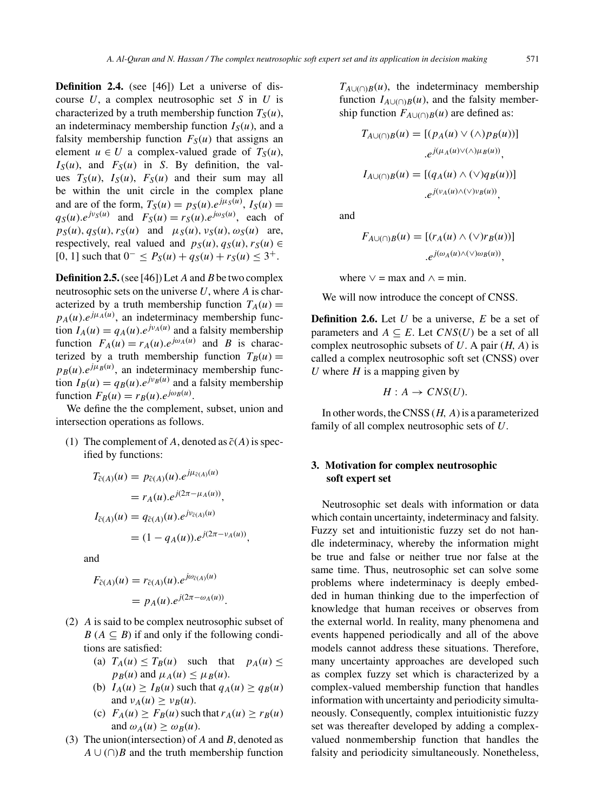**Definition 2.4.** (see [46]) Let a universe of discourse  $U$ , a complex neutrosophic set  $S$  in  $U$  is characterized by a truth membership function  $T_S(u)$ , an indeterminacy membership function  $I_S(u)$ , and a falsity membership function  $F_S(u)$  that assigns an element  $u \in U$  a complex-valued grade of  $T_S(u)$ ,  $I_S(u)$ , and  $F_S(u)$  in S. By definition, the values  $T_S(u)$ ,  $I_S(u)$ ,  $F_S(u)$  and their sum may all be within the unit circle in the complex plane and are of the form,  $T_S(u) = p_S(u) \cdot e^{j\mu_S(u)}$ ,  $I_S(u) =$  $q_S(u).e^{j\nu_S(u)}$  and  $F_S(u) = r_S(u).e^{j\omega_S(u)}$ , each of  $p_S(u)$ ,  $q_S(u)$ ,  $r_S(u)$  and  $\mu_S(u)$ ,  $v_S(u)$ ,  $\omega_S(u)$  are, respectively, real valued and  $p_S(u)$ ,  $q_S(u)$ ,  $r_S(u) \in$ [0, 1] such that  $0^{-} \leq P_S(u) + q_S(u) + r_S(u) \leq 3^{+}$ .

**Definition 2.5.** (see [46]) Let A and B be two complex neutrosophic sets on the universe  $U$ , where  $A$  is characterized by a truth membership function  $T_A(u) =$  $p_A(u)$ . $e^{j\mu_A(u)}$ , an indeterminacy membership function  $I_A(u) = q_A(u) e^{j v_A(u)}$  and a falsity membership function  $F_A(u) = r_A(u) e^{j\omega_A(u)}$  and B is characterized by a truth membership function  $T_B(u) =$  $p_B(u)$ . $e^{j\mu_B(u)}$ , an indeterminacy membership function  $I_B(u) = q_B(u) \cdot e^{j v_B(u)}$  and a falsity membership function  $F_B(u) = r_B(u) \cdot e^{j\omega_B(u)}$ .

We define the the complement, subset, union and intersection operations as follows.

(1) The complement of A, denoted as  $\tilde{c}(A)$  is specified by functions:

$$
T_{\tilde{c}(A)}(u) = p_{\tilde{c}(A)}(u).e^{j\mu_{\tilde{c}(A)}(u)}
$$
  
=  $r_A(u).e^{j(2\pi - \mu_A(u))}$ ,  

$$
I_{\tilde{c}(A)}(u) = q_{\tilde{c}(A)}(u).e^{j\nu_{\tilde{c}(A)}(u)}
$$
  
=  $(1 - q_A(u)).e^{j(2\pi - \nu_A(u))}$ ,

and

$$
F_{\tilde{c}(A)}(u) = r_{\tilde{c}(A)}(u).e^{j\omega_{\tilde{c}(A)}(u)}
$$
  
=  $p_A(u).e^{j(2\pi - \omega_A(u))}$ .

- (2) A is said to be complex neutrosophic subset of  $B(A \subseteq B)$  if and only if the following conditions are satisfied:
	- (a)  $T_A(u) \leq T_B(u)$  such that  $p_A(u) \leq$  $p_B(u)$  and  $\mu_A(u) \leq \mu_B(u)$ .
	- (b)  $I_A(u) \geq I_B(u)$  such that  $q_A(u) \geq q_B(u)$ and  $\nu_A(u) \geq \nu_B(u)$ .
	- (c)  $F_A(u) \geq F_B(u)$  such that  $r_A(u) \geq r_B(u)$ and  $\omega_A(u) > \omega_B(u)$ .
- (3) The union(intersection) of  $A$  and  $B$ , denoted as  $A \cup (\cap)B$  and the truth membership function

 $T_{A\cup(\\cap)B}(u)$ , the indeterminacy membership function  $I_{A\cup\cup\cap B}(u)$ , and the falsity membership function  $F_{A\cup(\\cap)B}(u)$  are defined as:

$$
T_{A\cup(\cap)B}(u) = [(p_A(u) \vee (\wedge) p_B(u))]
$$

$$
.e^{j(\mu_A(u) \vee (\wedge) \mu_B(u))},
$$

$$
I_{A\cup(\cap)B}(u) = [(q_A(u) \wedge (\vee) q_B(u))]
$$

$$
.e^{j(\nu_A(u) \wedge (\vee) \nu_B(u))},
$$

and

$$
F_{A\cup(\cap)B}(u) = [(r_A(u) \wedge (\vee) r_B(u))]
$$

$$
.e^{j(\omega_A(u) \wedge (\vee) \omega_B(u))},
$$

where  $\vee$  = max and  $\wedge$  = min.

We will now introduce the concept of CNSS.

**Definition 2.6.** Let U be a universe, E be a set of parameters and  $A \subseteq E$ . Let  $CNS(U)$  be a set of all complex neutrosophic subsets of  $U$ . A pair  $(H, A)$  is called a complex neutrosophic soft set (CNSS) over U where  $H$  is a mapping given by

$$
H: A \to CNS(U).
$$

In other words, the CNSS  $(H, A)$  is a parameterized family of all complex neutrosophic sets of U.

# **3. Motivation for complex neutrosophic soft expert set**

Neutrosophic set deals with information or data which contain uncertainty, indeterminacy and falsity. Fuzzy set and intuitionistic fuzzy set do not handle indeterminacy, whereby the information might be true and false or neither true nor false at the same time. Thus, neutrosophic set can solve some problems where indeterminacy is deeply embedded in human thinking due to the imperfection of knowledge that human receives or observes from the external world. In reality, many phenomena and events happened periodically and all of the above models cannot address these situations. Therefore, many uncertainty approaches are developed such as complex fuzzy set which is characterized by a complex-valued membership function that handles information with uncertainty and periodicity simultaneously. Consequently, complex intuitionistic fuzzy set was thereafter developed by adding a complexvalued nonmembership function that handles the falsity and periodicity simultaneously. Nonetheless,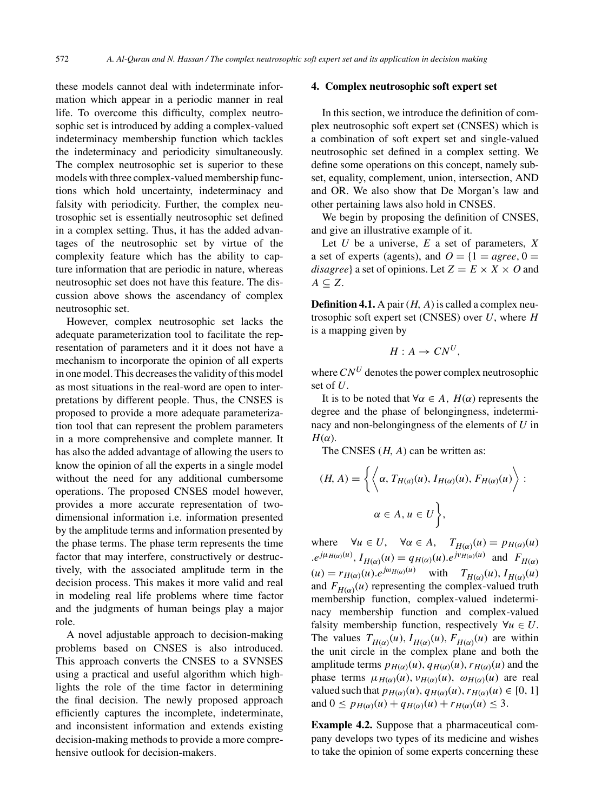these models cannot deal with indeterminate information which appear in a periodic manner in real life. To overcome this difficulty, complex neutrosophic set is introduced by adding a complex-valued indeterminacy membership function which tackles the indeterminacy and periodicity simultaneously. The complex neutrosophic set is superior to these models with three complex-valued membership functions which hold uncertainty, indeterminacy and falsity with periodicity. Further, the complex neutrosophic set is essentially neutrosophic set defined in a complex setting. Thus, it has the added advantages of the neutrosophic set by virtue of the complexity feature which has the ability to capture information that are periodic in nature, whereas neutrosophic set does not have this feature. The discussion above shows the ascendancy of complex neutrosophic set.

However, complex neutrosophic set lacks the adequate parameterization tool to facilitate the representation of parameters and it it does not have a mechanism to incorporate the opinion of all experts in one model. This decreases the validity of this model as most situations in the real-word are open to interpretations by different people. Thus, the CNSES is proposed to provide a more adequate parameterization tool that can represent the problem parameters in a more comprehensive and complete manner. It has also the added advantage of allowing the users to know the opinion of all the experts in a single model without the need for any additional cumbersome operations. The proposed CNSES model however, provides a more accurate representation of twodimensional information i.e. information presented by the amplitude terms and information presented by the phase terms. The phase term represents the time factor that may interfere, constructively or destructively, with the associated amplitude term in the decision process. This makes it more valid and real in modeling real life problems where time factor and the judgments of human beings play a major role.

A novel adjustable approach to decision-making problems based on CNSES is also introduced. This approach converts the CNSES to a SVNSES using a practical and useful algorithm which highlights the role of the time factor in determining the final decision. The newly proposed approach efficiently captures the incomplete, indeterminate, and inconsistent information and extends existing decision-making methods to provide a more comprehensive outlook for decision-makers.

## **4. Complex neutrosophic soft expert set**

In this section, we introduce the definition of complex neutrosophic soft expert set (CNSES) which is a combination of soft expert set and single-valued neutrosophic set defined in a complex setting. We define some operations on this concept, namely subset, equality, complement, union, intersection, AND and OR. We also show that De Morgan's law and other pertaining laws also hold in CNSES.

We begin by proposing the definition of CNSES, and give an illustrative example of it.

Let  $U$  be a universe,  $E$  a set of parameters,  $X$ a set of experts (agents), and  $Q = \{1 = agree, 0\}$ disagree} a set of opinions. Let  $Z = E \times X \times O$  and  $A \subseteq Z$ .

**Definition 4.1.** A pair  $(H, A)$  is called a complex neutrosophic soft expert set (CNSES) over  $U$ , where  $H$ is a mapping given by

$$
H: A \to C N^U,
$$

where  $CN^U$  denotes the power complex neutrosophic set of  $U$ .

It is to be noted that  $\forall \alpha \in A$ ,  $H(\alpha)$  represents the degree and the phase of belongingness, indeterminacy and non-belongingness of the elements of  $U$  in  $H(\alpha)$ .

The CNSES  $(H, A)$  can be written as:

$$
(H, A) = \left\{ \left\langle \alpha, T_{H(a)}(u), I_{H(\alpha)}(u), F_{H(\alpha)}(u) \right\rangle : \alpha \in A, u \in U \right\},\
$$

where  $\forall u \in U$ ,  $\forall \alpha \in A$ ,  $T_{H(\alpha)}(u) = p_{H(\alpha)}(u)$  $e^{j\mu_{H(\alpha)}(u)}$ ,  $I_{H(\alpha)}(u) = q_{H(\alpha)}(u)$ . $e^{j\nu_{H(\alpha)}(u)}$  and  $F_{H(\alpha)}$  $(u) = r_{H(\alpha)}(u).e^{j\omega_{H(\alpha)}(u)}$  with  $T_{H(\alpha)}(u), T_{H(\alpha)}(u)$ and  $F_{H(\alpha)}(u)$  representing the complex-valued truth membership function, complex-valued indeterminacy membership function and complex-valued falsity membership function, respectively  $\forall u \in U$ . The values  $T_{H(\alpha)}(u)$ ,  $I_{H(\alpha)}(u)$ ,  $F_{H(\alpha)}(u)$  are within the unit circle in the complex plane and both the amplitude terms  $p_{H(\alpha)}(u)$ ,  $q_{H(\alpha)}(u)$ ,  $r_{H(\alpha)}(u)$  and the phase terms  $\mu_{H(\alpha)}(u)$ ,  $\nu_{H(\alpha)}(u)$ ,  $\omega_{H(\alpha)}(u)$  are real valued such that  $p_{H(\alpha)}(u)$ ,  $q_{H(\alpha)}(u)$ ,  $r_{H(\alpha)}(u) \in [0, 1]$ and  $0 \leq p_{H(\alpha)}(u) + q_{H(\alpha)}(u) + r_{H(\alpha)}(u) \leq 3$ .

**Example 4.2.** Suppose that a pharmaceutical company develops two types of its medicine and wishes to take the opinion of some experts concerning these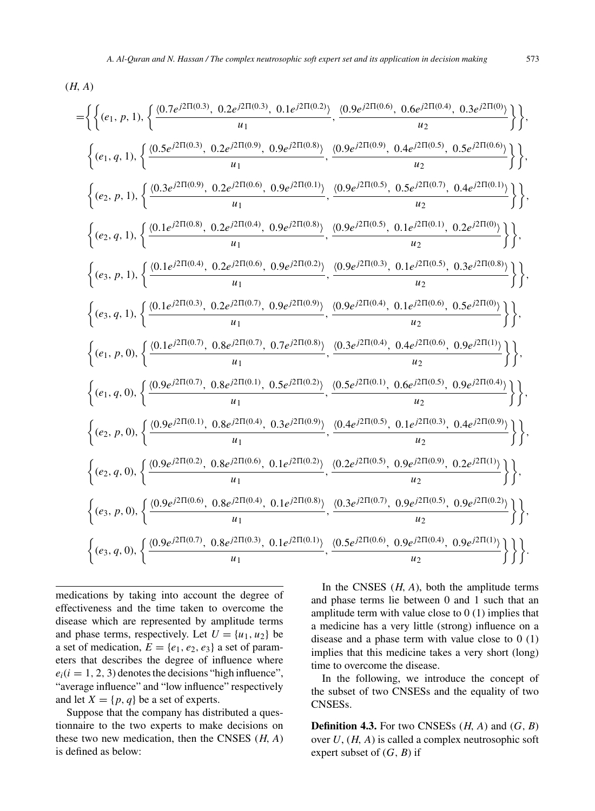$$
=\left\{\left\{ (e_1, p, 1), \left\{\frac{(0.7e^{j2\Pi(0.3)}, 0.2e^{j2\Pi(0.3)}, 0.1e^{j2\Pi(0.2)})}{u_1}, \frac{(0.9e^{j2\Pi(0.6)}, 0.6e^{j2\Pi(0.4)}, 0.3e^{j2\Pi(0.6)})}{u_2} \right\} \right\},\
$$
  
\n
$$
\left\{ (e_1, q, 1), \left\{\frac{(0.5e^{j2\Pi(0.3)}, 0.2e^{j2\Pi(0.6)}, 0.9e^{j2\Pi(0.8)})}{u_1}, \frac{(0.9e^{j2\Pi(0.9)}, 0.4e^{j2\Pi(0.5)}, 0.5e^{j2\Pi(0.6)})}{u_2} \right\} \right\},\
$$
  
\n
$$
\left\{ (e_2, p, 1), \left\{\frac{(0.1e^{j2\Pi(0.8)}, 0.2e^{j2\Pi(0.6)}, 0.9e^{j2\Pi(0.1)})}{u_1}, \frac{(0.9e^{j2\Pi(0.5)}, 0.5e^{j2\Pi(0.7)}, 0.4e^{j2\Pi(0.1)})}{u_2} \right\} \right\},\
$$
  
\n
$$
\left\{ (e_3, p, 1), \left\{\frac{(0.1e^{j2\Pi(0.4)}, 0.2e^{j2\Pi(0.6)}, 0.9e^{j2\Pi(0.2)})}{u_1}, \frac{(0.9e^{j2\Pi(0.5)}, 0.1e^{j2\Pi(0.5)}, 0.1e^{j2\Pi(0.5)}, 0.3e^{j2\Pi(0.8)})}{u_2} \right\} \right\},\
$$
  
\n
$$
\left\{ (e_3, p, 1), \left\{\frac{(0.1e^{j2\Pi(0.3)}, 0.2e^{j2\Pi(0.6)}, 0.9e^{j2\Pi(0.2)})}{u_1}, \frac{(0.9e^{j2\Pi(0.3)}, 0.1e^{j2\Pi(0.6)}, 0.3e^{j2\Pi(0.8)})}{u_2} \right\} \right\},\
$$
  
\n
$$
\left\{ (e_1, p, 0), \left\{\frac{(0.1e^{j2\Pi(0.7)}, 0
$$

medications by taking into account the degree of effectiveness and the time taken to overcome the disease which are represented by amplitude terms and phase terms, respectively. Let  $U = \{u_1, u_2\}$  be a set of medication,  $E = \{e_1, e_2, e_3\}$  a set of parameters that describes the degree of influence where  $e_i(i = 1, 2, 3)$  denotes the decisions "high influence", "average influence" and "low influence" respectively and let  $X = \{p, q\}$  be a set of experts.

Suppose that the company has distributed a questionnaire to the two experts to make decisions on these two new medication, then the CNSES  $(H, A)$ is defined as below:

In the CNSES  $(H, A)$ , both the amplitude terms and phase terms lie between 0 and 1 such that an amplitude term with value close to 0 (1) implies that a medicine has a very little (strong) influence on a disease and a phase term with value close to  $0(1)$ implies that this medicine takes a very short (long) time to overcome the disease.

In the following, we introduce the concept of the subset of two CNSESs and the equality of two CNSESs.

**Definition 4.3.** For two CNSESs  $(H, A)$  and  $(G, B)$ over  $U$ ,  $(H, A)$  is called a complex neutrosophic soft expert subset of  $(G, B)$  if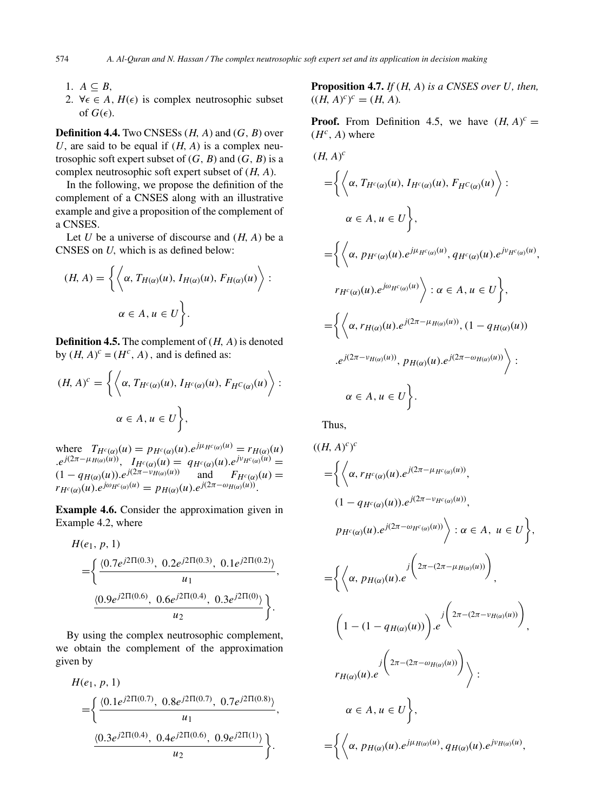- 1.  $A \subseteq B$ ,
- 2.  $\forall \epsilon \in A, H(\epsilon)$  is complex neutrosophic subset of  $G(\epsilon)$ .

**Definition 4.4.** Two CNSESs  $(H, A)$  and  $(G, B)$  over U, are said to be equal if  $(H, A)$  is a complex neutrosophic soft expert subset of  $(G, B)$  and  $(G, B)$  is a complex neutrosophic soft expert subset of  $(H, A)$ .

In the following, we propose the definition of the complement of a CNSES along with an illustrative example and give a proposition of the complement of a CNSES.

Let U be a universe of discourse and  $(H, A)$  be a CNSES on U, which is as defined below:

$$
(H, A) = \left\{ \left\langle \alpha, T_{H(\alpha)}(u), I_{H(\alpha)}(u), F_{H(\alpha)}(u) \right\rangle : \right.
$$
  

$$
\alpha \in A, u \in U \left.\right\}.
$$

**Definition 4.5.** The complement of  $(H, A)$  is denoted by  $(H, A)^c = (H^c, A)$ , and is defined as:

$$
(H, A)^c = \left\{ \left\langle \alpha, T_{H^c(\alpha)}(u), I_{H^c(\alpha)}(u), F_{H^c(\alpha)}(u) \right\rangle : \right. \left. \alpha \in A, u \in U \right\},
$$

where  $T_{H^c(\alpha)}(u) = p_{H^c(\alpha)}(u) e^{j\mu_{H^c(\alpha)}(u)} = r_{H(\alpha)}(u)$  $e^{j(2\pi - \mu_{H(\alpha)}(u))}$ ,  $I_{H^c(\alpha)}(u) = q_{H^c(\alpha)}(u) e^{j\nu_{H^c(\alpha)}(u)}$  $(1 - q_{H(\alpha)}(u)) \cdot e^{j(2\pi - v_{H(\alpha)}(u))}$  and  $F_{H^c(\alpha)}(u) =$  $r_{H^c(\alpha)}(u)$ . $e^{j\omega_{H^c(\alpha)}(u)} = p_{H(\alpha)}(u)$ . $e^{j(2\pi - \omega_{H(\alpha)}(u))}$ .

**Example 4.6.** Consider the approximation given in Example 4.2, where

$$
H(e_1, p, 1)
$$
  
=
$$
\left\{\frac{\langle 0.7e^{j2\Pi(0.3)}, 0.2e^{j2\Pi(0.3)}, 0.1e^{j2\Pi(0.2)} \rangle}{u_1}, \frac{\langle 0.9e^{j2\Pi(0.6)}, 0.6e^{j2\Pi(0.4)}, 0.3e^{j2\Pi(0)} \rangle}{u_2}\right\}.
$$

By using the complex neutrosophic complement, we obtain the complement of the approximation given by

$$
H(e_1, p, 1)
$$
  
=
$$
\left\{\frac{\langle 0.1e^{j2\Pi(0.7)}, 0.8e^{j2\Pi(0.7)}, 0.7e^{j2\Pi(0.8)} \rangle}{u_1}, \frac{\langle 0.3e^{j2\Pi(0.4)}, 0.4e^{j2\Pi(0.6)}, 0.9e^{j2\Pi(1)} \rangle}{u_2}\right\}.
$$

**Proposition 4.7.** *If* (H, A) *is a CNSES over* U*, then,*  $((H, A)^c)^c = (H, A).$ 

**Proof.** From Definition 4.5, we have  $(H, A)^c$  =  $(H<sup>c</sup>, A)$  where

$$
(H, A)^{c}
$$
\n
$$
= \left\{ \left\langle \alpha, T_{H^{c}(\alpha)}(u), I_{H^{c}(\alpha)}(u), F_{H^{c}(\alpha)}(u) \right\rangle : \alpha \in A, u \in U \right\},
$$
\n
$$
\alpha \in A, u \in U \right\},
$$
\n
$$
= \left\{ \left\langle \alpha, p_{H^{c}(\alpha)}(u).e^{j\mu_{H^{c}(\alpha)}(u)}, q_{H^{c}(\alpha)}(u).e^{j\nu_{H^{c}(\alpha)}(u)}, r_{H^{c}(\alpha)}(u).e^{j\omega_{H^{c}(\alpha)}(u)} \right\rangle : \alpha \in A, u \in U \right\},
$$
\n
$$
= \left\{ \left\langle \alpha, r_{H(\alpha)}(u).e^{j(2\pi - \mu_{H(\alpha)}(u))}, (1 - q_{H(\alpha)}(u)) \right\rangle : e^{j(2\pi - \nu_{H(\alpha)}(u))}, p_{H(\alpha)}(u).e^{j(2\pi - \omega_{H(\alpha)}(u))} \right\rangle : \alpha \in A, u \in U \right\}.
$$

Thus,

$$
(H, A)^c)^c
$$
\n
$$
= \left\{ \left\langle \alpha, r_{H^c(\alpha)}(u).e^{j(2\pi - \mu_{H^c(\alpha)}(u))}, 0 \right\rangle (1 - q_{H^c(\alpha)}(u)).e^{j(2\pi - \nu_{H^c(\alpha)}(u))}, 0 \right\rangle : \alpha \in A, u \in U \right\},\
$$
\n
$$
PH^c(\alpha)(u).e^{j(2\pi - \omega_{H^c(\alpha)}(u))} \Big) : \alpha \in A, u \in U \right\},\
$$
\n
$$
= \left\{ \left\langle \alpha, p_{H(\alpha)}(u).e^{j\left(2\pi - (2\pi - \mu_{H(\alpha)}(u))\right)}, 0 \right\rangle (1 - (1 - q_{H(\alpha)}(u))) \right\},\
$$
\n
$$
\left(1 - (1 - q_{H(\alpha)}(u))\right) \cdot e^{j\left(2\pi - (2\pi - \nu_{H(\alpha)}(u))\right)},\
$$
\n
$$
r_{H(\alpha)}(u).e^{j\left(2\pi - (2\pi - \omega_{H(\alpha)}(u))\right)} \Big\rangle : \alpha \in A, u \in U \right\},\
$$
\n
$$
= \left\{ \left\langle \alpha, p_{H(\alpha)}(u).e^{j\mu_{H(\alpha)}(u)}, q_{H(\alpha)}(u).e^{j\nu_{H(\alpha)}(u)}, 0 \right\rangle (u).e^{j\nu_{H(\alpha)}(u)}, 0 \in A \right\}.
$$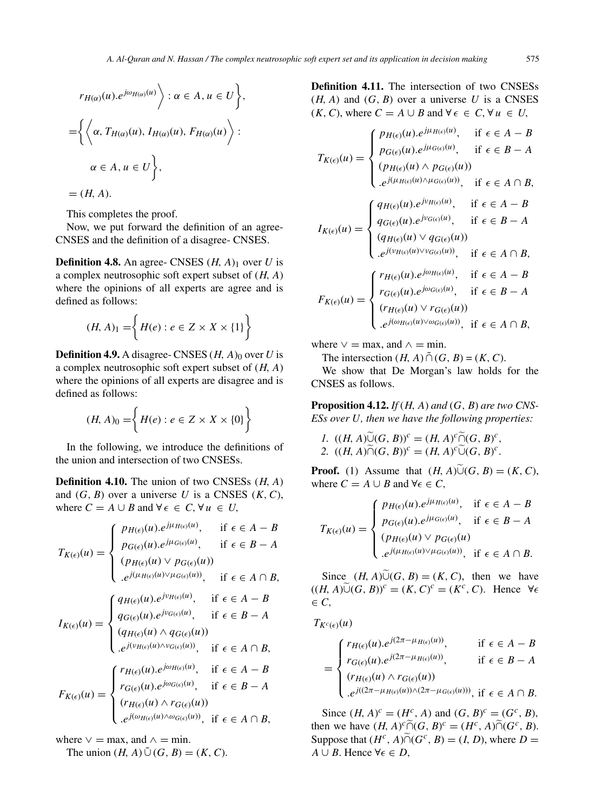$$
r_{H(\alpha)}(u).e^{j\omega_{H(\alpha)}(u)} \Bigg) : \alpha \in A, u \in U \Bigg\},
$$
  
=
$$
\Biggl\{ \Biggl\langle \alpha, T_{H(\alpha)}(u), I_{H(\alpha)}(u), F_{H(\alpha)}(u) \Biggr\rangle : \alpha \in A, u \in U \Biggr\},
$$

 $= (H, A).$ 

This completes the proof.

Now, we put forward the definition of an agree-CNSES and the definition of a disagree- CNSES.

**Definition 4.8.** An agree- CNSES  $(H, A)$ <sub>1</sub> over U is a complex neutrosophic soft expert subset of  $(H, A)$ where the opinions of all experts are agree and is defined as follows:

$$
(H, A)_1 = \left\{ H(e) : e \in Z \times X \times \{1\} \right\}
$$

**Definition 4.9.** A disagree- CNSES  $(H, A)_0$  over U is a complex neutrosophic soft expert subset of  $(H, A)$ where the opinions of all experts are disagree and is defined as follows:

$$
(H, A)_0 = \left\{ H(e) : e \in Z \times X \times \{0\} \right\}
$$

In the following, we introduce the definitions of the union and intersection of two CNSESs.

**Definition 4.10.** The union of two CNSESs (H, A) and  $(G, B)$  over a universe U is a CNSES  $(K, C)$ , where  $C = A \cup B$  and  $\forall \epsilon \in C$ ,  $\forall u \in U$ ,

$$
I_{K(\epsilon)}(u) = \begin{cases} p_{H(\epsilon)}(u), e^{j\mu_{H(\epsilon)}(u)}, & \text{if } \epsilon \in A - B \\ p_{G(\epsilon)}(u), e^{j\mu_{G(\epsilon)}(u)}, & \text{if } \epsilon \in B - A \\ (p_{H(\epsilon)}(u) \vee p_{G(\epsilon)}(u)) & \\ \cdot e^{j(\mu_{H(\epsilon)}(u) \vee \mu_{G(\epsilon)}(u))}, & \text{if } \epsilon \in A \cap B, \end{cases}
$$

$$
I_{K(\epsilon)}(u) = \begin{cases} q_{H(\epsilon)}(u), e^{j\nu_{H(\epsilon)}(u)}, & \text{if } \epsilon \in A - B \\ q_{G(\epsilon)}(u), e^{j\nu_{G(\epsilon)}(u)}, & \text{if } \epsilon \in B - A \\ (q_{H(\epsilon)}(u) \wedge q_{G(\epsilon)}(u)) & \\ \cdot e^{j(\nu_{H(\epsilon)}(u) \wedge \nu_{G(\epsilon)}(u))}, & \text{if } \epsilon \in A - B \\ r_{G(\epsilon)}(u), e^{j\omega_{G(\epsilon)}(u)}, & \text{if } \epsilon \in A - B \\ r_{G(\epsilon)}(u), e^{j\omega_{G(\epsilon)}(u)}, & \text{if } \epsilon \in B - A \\ (r_{H(\epsilon)}(u) \wedge r_{G(\epsilon)}(u)) & \\ \cdot e^{j(\omega_{H(\epsilon)}(u) \wedge \omega_{G(\epsilon)}(u))}, & \text{if } \epsilon \in A \cap B, \end{cases}
$$

where  $\vee$  = max, and  $\wedge$  = min.

The union  $(H, A) \tilde{\cup} (G, B) = (K, C)$ .

**Definition 4.11.** The intersection of two CNSESs  $(H, A)$  and  $(G, B)$  over a universe U is a CNSES  $(K, C)$ , where  $C = A \cup B$  and  $\forall \epsilon \in C$ ,  $\forall u \in U$ ,

$$
I_{K(\epsilon)}(u) = \begin{cases} p_{H(\epsilon)}(u).e^{j\mu_{H(\epsilon)}(u)}, & \text{if } \epsilon \in A - B \\ p_{G(\epsilon)}(u).e^{j\mu_{G(\epsilon)}(u)}, & \text{if } \epsilon \in B - A \\ (p_{H(\epsilon)}(u) \land p_{G(\epsilon)}(u)) & \text{if } \epsilon \in A \cap B, \\ e^{j(\mu_{H(\epsilon)}(u)) \land \mu_{G(\epsilon)}(u)}, & \text{if } \epsilon \in A \cap B, \end{cases}
$$

$$
I_{K(\epsilon)}(u) = \begin{cases} q_{H(\epsilon)}(u).e^{j\nu_{H(\epsilon)}(u)}, & \text{if } \epsilon \in A - B \\ q_{G(\epsilon)}(u).e^{j\nu_{G(\epsilon)}(u)}, & \text{if } \epsilon \in B - A \\ (q_{H(\epsilon)}(u) \lor q_{G(\epsilon)}(u)) & \text{if } \epsilon \in A \cap B, \\ e^{j(\nu_{H(\epsilon)}(u) \lor \nu_{G(\epsilon)}(u)}, & \text{if } \epsilon \in A - B \\ r_{G(\epsilon)}(u).e^{j\omega_{G(\epsilon)}(u)}, & \text{if } \epsilon \in B - A \\ (r_{H(\epsilon)}(u) \lor r_{G(\epsilon)}(u)) & \text{if } \epsilon \in B - A \\ (r_{H(\epsilon)}(u) \lor r_{G(\epsilon)}(u)), & \text{if } \epsilon \in A \cap B, \end{cases}
$$

where  $\vee$  = max, and  $\wedge$  = min.

The intersection  $(H, A) \tilde{\cap} (G, B) = (K, C)$ .

We show that De Morgan's law holds for the CNSES as follows.

**Proposition 4.12.** *If* (H, A) *and* (G, B) *are two CNS-ESs over* U*, then we have the following properties:*

1. 
$$
((H, A)\widetilde{\cup}(G, B))^c = (H, A)^c \widetilde{\cap}(G, B)^c
$$
,  
2.  $((H, A)\widetilde{\cap}(G, B))^c = (H, A)^c \widetilde{\cup}(G, B)^c$ .

**Proof.** (1) Assume that  $(H, A)\widetilde{\cup}(G, B) = (K, C)$ , where  $C = A \cup B$  and  $\forall \epsilon \in C$ ,

$$
T_{K(\epsilon)}(u) = \begin{cases} p_{H(\epsilon)}(u).e^{j\mu_{H(\epsilon)}(u)}, & \text{if } \epsilon \in A - B \\ p_{G(\epsilon)}(u).e^{j\mu_{G(\epsilon)}(u)}, & \text{if } \epsilon \in B - A \\ (p_{H(\epsilon)}(u) \vee p_{G(\epsilon)}(u)) & \\ .e^{j(\mu_{H(\epsilon)}(u) \vee \mu_{G(\epsilon)}(u))}, & \text{if } \epsilon \in A \cap B. \end{cases}
$$

Since  $(H, A)\tilde{\cup}(G, B) = (K, C)$ , then we have  $((H, A)\widetilde{\cup}(G, B))^c = (K, C)^c = (K^c, C)$ . Hence  $\forall \epsilon$  $\in C$ ,

 $T_{K^c(\epsilon)}(u)$ 

$$
= \begin{cases} r_{H(\epsilon)}(u).e^{j(2\pi-\mu_{H(\epsilon)}(u))}, & \text{if } \epsilon \in A - B \\ r_{G(\epsilon)}(u).e^{j(2\pi-\mu_{H(\epsilon)}(u))}, & \text{if } \epsilon \in B - A \\ (r_{H(\epsilon)}(u) \wedge r_{G(\epsilon)}(u)) & \\ .e^{j((2\pi-\mu_{H(\epsilon)}(u)) \wedge (2\pi-\mu_{G(\epsilon)}(u)))}, \text{if } \epsilon \in A \cap B. \end{cases}
$$

Since  $(H, A)^c = (H^c, A)$  and  $(G, B)^c = (G^c, B)$ , then we have  $(H, A)^c \widetilde{\cap} (G, B)^c = (H^c, A) \widetilde{\cap} (G^c, B)$ . Suppose that  $(H^c, A) \widetilde{\cap} (G^c, B) = (I, D)$ , where  $D =$  $A \cup B$ . Hence  $\forall \epsilon \in D$ ,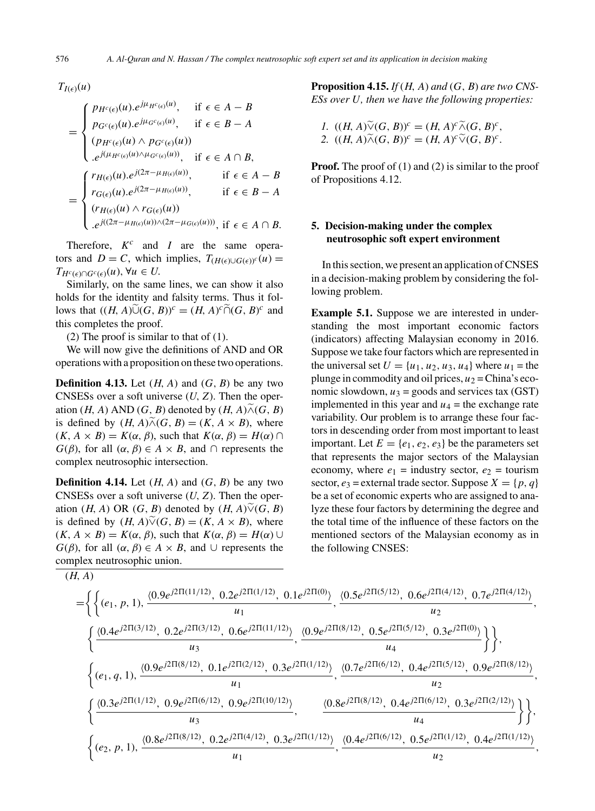$T_{I(\epsilon)}(u)$ 

$$
= \begin{cases} p_{H^c(\epsilon)}(u).e^{j\mu_{H^c(\epsilon)}(u)}, & \text{if } \epsilon \in A - B \\ p_{G^c(\epsilon)}(u).e^{j\mu_{G^c(\epsilon)}(u)}, & \text{if } \epsilon \in B - A \\ (p_{H^c(\epsilon)}(u) \wedge p_{G^c(\epsilon)}(u)) & \\ .e^{j(\mu_{H^c(\epsilon)}(u) \wedge \mu_{G^c(\epsilon)}(u))}, & \text{if } \epsilon \in A \cap B, \\ r_{H(\epsilon)}(u).e^{j(2\pi - \mu_{H(\epsilon)}(u))}, & \text{if } \epsilon \in A - B \\ r_{G(\epsilon)}(u).e^{j(2\pi - \mu_{H(\epsilon)}(u))}, & \text{if } \epsilon \in B - A \\ (r_{H(\epsilon)}(u) \wedge r_{G(\epsilon)}(u)) & \\ .e^{j((2\pi - \mu_{H(\epsilon)}(u)) \wedge (2\pi - \mu_{G(\epsilon)}(u)))}, & \text{if } \epsilon \in A \cap B. \end{cases}
$$

Therefore,  $K^c$  and I are the same operators and  $D = C$ , which implies,  $T_{(H(\epsilon) \cup G(\epsilon))c}(u) =$  $T_{H^c(\epsilon) \cap G^c(\epsilon)}(u), \forall u \in U.$ 

Similarly, on the same lines, we can show it also holds for the identity and falsity terms. Thus it follows that  $((H, A)\widetilde{\cup}(G, B))^c = (H, A)^c \widetilde{\cap}(G, B)^c$  and this completes the proof.

(2) The proof is similar to that of (1).

We will now give the definitions of AND and OR operations with a proposition on these two operations.

**Definition 4.13.** Let  $(H, A)$  and  $(G, B)$  be any two CNSESs over a soft universe  $(U, Z)$ . Then the operation (H, A) AND (G, B) denoted by  $(H, A) \tilde{\wedge} (G, B)$ is defined by  $(H, A) \widetilde{\wedge} (G, B) = (K, A \times B)$ , where  $(K, A \times B) = K(\alpha, \beta)$ , such that  $K(\alpha, \beta) = H(\alpha) \cap$  $G(\beta)$ , for all  $(\alpha, \beta) \in A \times B$ , and  $\cap$  represents the complex neutrosophic intersection.

**Definition 4.14.** Let  $(H, A)$  and  $(G, B)$  be any two CNSESs over a soft universe  $(U, Z)$ . Then the operation (H, A) OR (G, B) denoted by  $(H, A)\tilde{\vee}(G, B)$ is defined by  $(H, A)\widetilde{\vee}(G, B) = (K, A \times B)$ , where  $(K, A \times B) = K(\alpha, \beta)$ , such that  $K(\alpha, \beta) = H(\alpha) \cup$  $G(\beta)$ , for all  $(\alpha, \beta) \in A \times B$ , and  $\cup$  represents the complex neutrosophic union.

**Proposition 4.15.** *If* (H, A) *and* (G, B) *are two CNS-ESs over* U*, then we have the following properties:*

1. 
$$
((H, A)\widetilde{\vee} (G, B))^c = (H, A)^c \widetilde{\wedge} (G, B)^c
$$
,  
2.  $((H, A)\widetilde{\wedge} (G, B))^c = (H, A)^c \widetilde{\vee} (G, B)^c$ .

**Proof.** The proof of (1) and (2) is similar to the proof of Propositions 4.12.

# **5. Decision-making under the complex neutrosophic soft expert environment**

In this section, we present an application of CNSES in a decision-making problem by considering the following problem.

**Example 5.1.** Suppose we are interested in understanding the most important economic factors (indicators) affecting Malaysian economy in 2016. Suppose we take four factors which are represented in the universal set  $U = \{u_1, u_2, u_3, u_4\}$  where  $u_1$  = the plunge in commodity and oil prices,  $u_2$  = China's economic slowdown,  $u_3$  = goods and services tax (GST) implemented in this year and  $u_4$  = the exchange rate variability. Our problem is to arrange these four factors in descending order from most important to least important. Let  $E = \{e_1, e_2, e_3\}$  be the parameters set that represents the major sectors of the Malaysian economy, where  $e_1$  = industry sector,  $e_2$  = tourism sector,  $e_3$  = external trade sector. Suppose  $X = \{p, q\}$ be a set of economic experts who are assigned to analyze these four factors by determining the degree and the total time of the influence of these factors on the mentioned sectors of the Malaysian economy as in the following CNSES:

$$
(H, A)
$$

$$
= \left\{ \left\{ (e_1, p, 1), \frac{\langle 0.9e^{j2\Pi(11/12)}, 0.2e^{j2\Pi(1/12)}, 0.1e^{j2\Pi(0)} \rangle}{u_1}, \frac{\langle 0.5e^{j2\Pi(5/12)}, 0.6e^{j2\Pi(4/12)}, 0.7e^{j2\Pi(4/12)} \rangle}{u_2}, \frac{\langle 0.4e^{j2\Pi(3/12)}, 0.2e^{j2\Pi(3/12)}, 0.6e^{j2\Pi(11/12)} \rangle}{u_3}, \frac{\langle 0.9e^{j2\Pi(8/12)}, 0.5e^{j2\Pi(5/12)}, 0.3e^{j2\Pi(0)} \rangle}{u_4} \rangle \right\},
$$
  

$$
\left\{ (e_1, q, 1), \frac{\langle 0.9e^{j2\Pi(8/12)}, 0.1e^{j2\Pi(2/12)}, 0.3e^{j2\Pi(1/12)} \rangle}{u_1}, \frac{\langle 0.7e^{j2\Pi(6/12)}, 0.4e^{j2\Pi(5/12)}, 0.9e^{j2\Pi(8/12)} \rangle}{u_2}, \frac{\langle 0.8e^{j2\Pi(6/12)}, 0.4e^{j2\Pi(6/12)}, 0.3e^{j2\Pi(2/12)} \rangle}{u_4} \right\} \right\},
$$
  

$$
\left\{ (e_2, p, 1), \frac{\langle 0.8e^{j2\Pi(8/12)}, 0.2e^{j2\Pi(4/12)}, 0.3e^{j2\Pi(1/12)} \rangle}{u_1}, \frac{\langle 0.8e^{j2\Pi(8/12)}, 0.4e^{j2\Pi(6/12)}, 0.3e^{j2\Pi(2/12)} \rangle}{u_2} \right\} \right\},
$$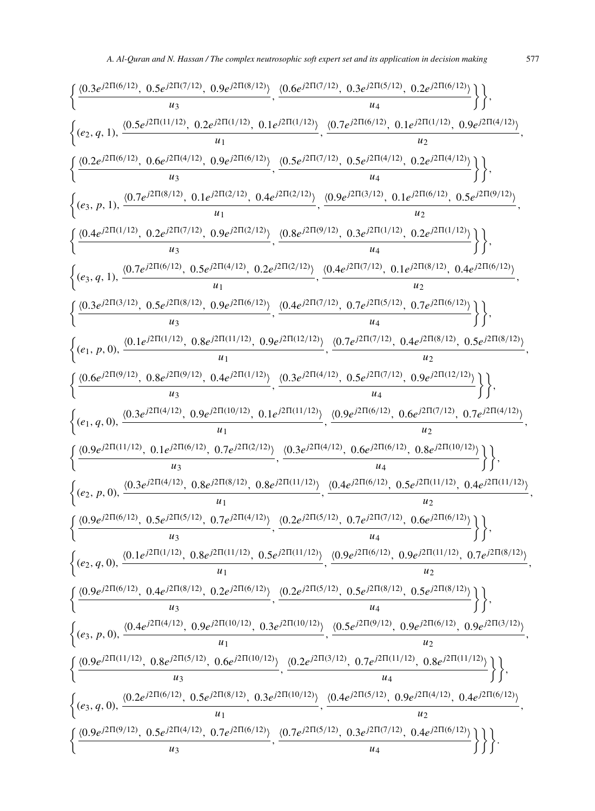$$
\begin{cases} \frac{\langle 0.3e^{j2\Pi(6/12)},\ 0.5e^{j2\Pi(7/12)},\ 0.9e^{j2\Pi(8/12)},\ 0.1e^{j2\Pi(6/12)},\ 0.3e^{j2\Pi(6/12)},\ 0.2e^{j2\Pi(6/12)},\ 0.9e^{j2\Pi(6/12)},\ 0.9e^{j2\Pi(6/12)},\ 0.9e^{j2\Pi(6/12)},\ 0.9e^{j2\Pi(6/12)},\ 0.9e^{j2\Pi(6/12)},\ 0.9e^{j2\Pi(6/12)},\ 0.9e^{j2\Pi(6/12)},\ 0.9e^{j2\Pi(6/12)},\ 0.9e^{j2\Pi(6/12)},\ 0.9e^{j2\Pi(6/12)},\ 0.9e^{j2\Pi(6/12)},\ 0.9e^{j2\Pi(6/12)},\ 0.9e^{j2\Pi(6/12)},\ 0.9e^{j2\Pi(6/12)},\ 0.9e^{j2\Pi(6/12)},\ 0.9e^{j2\Pi(6/12)},\ 0.9e^{j2\Pi(6/12)},\ 0.9e^{j2\Pi(6/12)},\ 0.9e^{j2\Pi(6/12)},\ 0.9e^{j2\Pi(6/12)},\ 0.9e^{j2\Pi(6/12)},\ 0.9e^{j2\Pi(6/12)},\ 0.9e^{j2\Pi(6/12)},\ 0.9e^{j2\Pi(6/12)},\ 0.9e^{j2\Pi(6/12)},\ 0.9e^{j2\Pi(6/12)},\ 0.9e^{j2\Pi(6/12)},\ 0.9e^{j2\Pi(6/12)},\ 0.9e^{j2\Pi(6/12)},\ 0.9e^{j2\Pi(6/12)},\ 0.9e^{j2\Pi(6/12)},\ 0.9e^{j2\Pi(6/12)},\ 0.9e^{j2\Pi(6/12)},\ 0.9e^{j2\Pi(6/12)},\ 0.9e^{j2\Pi(6/12)},\ 0.9e^{j2\Pi(6/12)},\ 0.9e^{j2\Pi(6/12)},\ 0.9e^{j2\Pi(6/12)},\ 0.
$$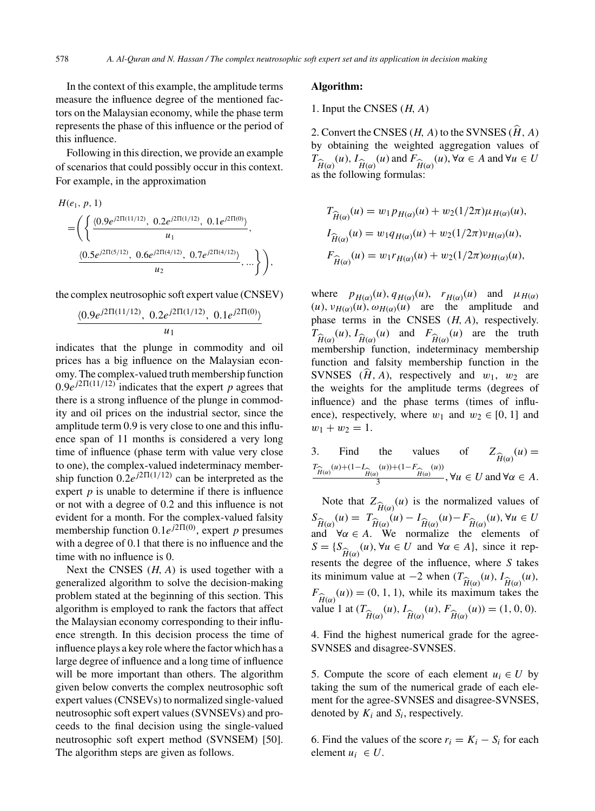In the context of this example, the amplitude terms measure the influence degree of the mentioned factors on the Malaysian economy, while the phase term represents the phase of this influence or the period of this influence.

Following in this direction, we provide an example of scenarios that could possibly occur in this context. For example, in the approximation

$$
H(e_1, p, 1)
$$
  
=  $\left( \left\{ \frac{\langle 0.9e^{j2\Pi(11/12)}, 0.2e^{j2\Pi(1/12)}, 0.1e^{j2\Pi(0)} \rangle}{u_1}, \frac{\langle 0.5e^{j2\Pi(5/12)}, 0.6e^{j2\Pi(4/12)}, 0.7e^{j2\Pi(4/12)} \rangle}{u_2}, \dots \right\} \right),$ 

the complex neutrosophic soft expert value (CNSEV)

$$
\frac{\langle 0.9e^{j2\Pi(11/12)}, 0.2e^{j2\Pi(1/12)}, 0.1e^{j2\Pi(0)} \rangle}{u_1}
$$

indicates that the plunge in commodity and oil prices has a big influence on the Malaysian economy. The complex-valued truth membership function  $0.9e^{j2\Pi(11/12)}$  indicates that the expert p agrees that there is a strong influence of the plunge in commodity and oil prices on the industrial sector, since the amplitude term 0.9 is very close to one and this influence span of 11 months is considered a very long time of influence (phase term with value very close to one), the complex-valued indeterminacy membership function  $0.\overline{2}e^{j2\Pi(1/12)}$  can be interpreted as the expert  $p$  is unable to determine if there is influence or not with a degree of 0.2 and this influence is not evident for a month. For the complex-valued falsity membership function  $0.1e^{j2\Pi(0)}$ , expert p presumes with a degree of 0.1 that there is no influence and the time with no influence is 0.

Next the CNSES  $(H, A)$  is used together with a generalized algorithm to solve the decision-making problem stated at the beginning of this section. This algorithm is employed to rank the factors that affect the Malaysian economy corresponding to their influence strength. In this decision process the time of influence plays a key role where the factor which has a large degree of influence and a long time of influence will be more important than others. The algorithm given below converts the complex neutrosophic soft expert values (CNSEVs) to normalized single-valued neutrosophic soft expert values (SVNSEVs) and proceeds to the final decision using the single-valued neutrosophic soft expert method (SVNSEM) [50]. The algorithm steps are given as follows.

# **Algorithm:**

1. Input the CNSES  $(H, A)$ 

2. Convert the CNSES (*H*, *A*) to the SVNSES ( $\hat{H}$ , *A*) by obtaining the weighted aggregation values of  $T_{\widehat{H}(\alpha)}(u), I_{\widehat{H}(\alpha)}(u)$  and  $F_{\widehat{H}(\alpha)}$ <br>as the following formulas:  $(u)$ ,  $\forall \alpha \in A$  and  $\forall u \in U$ as the following formulas:

$$
T_{\hat{H}(\alpha)}(u) = w_1 p_{H(\alpha)}(u) + w_2(1/2\pi)\mu_{H(\alpha)}(u),
$$
  
\n
$$
I_{\hat{H}(\alpha)}(u) = w_1 q_{H(\alpha)}(u) + w_2(1/2\pi)v_{H(\alpha)}(u),
$$
  
\n
$$
F_{\hat{H}(\alpha)}(u) = w_1 r_{H(\alpha)}(u) + w_2(1/2\pi)\omega_{H(\alpha)}(u),
$$

where  $p_{H(\alpha)}(u)$ ,  $q_{H(\alpha)}(u)$ ,  $r_{H(\alpha)}(u)$  and  $\mu_{H(\alpha)}$  $(u)$ ,  $v_{H(\alpha)}(u)$ ,  $\omega_{H(\alpha)}(u)$  are the amplitude and phase terms in the CNSES  $(H, A)$ , respectively.  $T_{\hat{H}(\alpha)}(u)$ ,  $I_{\hat{H}(\alpha)}(u)$  and  $F_{\hat{H}(\alpha)}(u)$  are the truth<br>membership function indeterminacy membership membership function, indeterminacy membership function and falsity membership function in the SVNSES  $(\hat{H}, A)$ , respectively and  $w_1$ ,  $w_2$  are the weights for the amplitude terms (degrees of influence) and the phase terms (times of influence), respectively, where  $w_1$  and  $w_2 \in [0, 1]$  and  $w_1 + w_2 = 1.$ 

3. Find the values of 
$$
Z_{\widehat{H}(\alpha)}(u) = \frac{r_{\widehat{H}(\alpha)}(u) + (1 - I_{\widehat{H}(\alpha)}(u)) + (1 - F_{\widehat{H}(\alpha)}(u))}{\frac{3}{3}}, \forall u \in U \text{ and } \forall \alpha \in A.
$$

Note that  $Z_{\hat{\tau}_{\alpha}}(u)$  is the normalized values of  $S_{\widehat{H}(\alpha)}(u) = T_{\widehat{H}(\alpha)}(u)$ <br>and  $\forall \alpha \in A$  We  $(u) = T$  $H(\alpha)$  $(u) - 1$  $H(\alpha)$ <br>mal  $(u)-F$  $H(α)$ <br> $\theta$  $(u), \forall u \in U$ and  $\forall \alpha \in A$ . We normalize the elements of  $S = \{S_{\widehat{\Omega}}(u), \forall u \in U \text{ and } \forall \alpha \in A\}$ , since it represents the degree of the influence, where S takes its minimum value at  $-2$  when (T  $\hat{H}(\alpha)$ <sup>(u),  $I_{\hat{H}(\alpha)}(u)$ ,<br>wimum takes the</sup>  $F_{\hat{\tau}(\cdot)}(u) = (0, 1, 1)$ , while its maximum takes the  $H(\alpha)$ <br>value 1 at  $(T_{\hat{H}(\alpha)}(u), T_{\hat{H}(\alpha)}(u), F_{\hat{H}(\alpha)}(u)) = (1, 0, 0).$ 

4. Find the highest numerical grade for the agree-SVNSES and disagree-SVNSES.

5. Compute the score of each element  $u_i \in U$  by taking the sum of the numerical grade of each element for the agree-SVNSES and disagree-SVNSES, denoted by  $K_i$  and  $S_i$ , respectively.

6. Find the values of the score  $r_i = K_i - S_i$  for each element  $u_i \in U$ .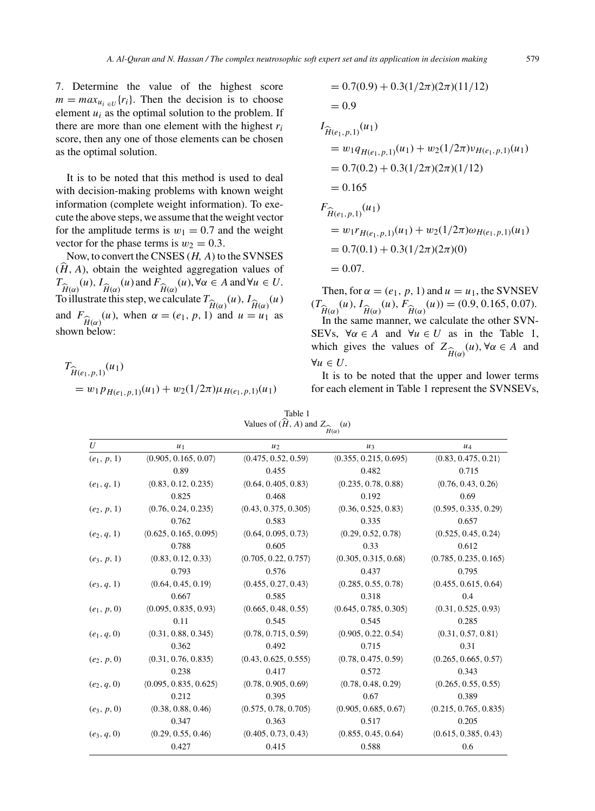7. Determine the value of the highest score  $m = max_{u_i \in U} \{r_i\}.$  Then the decision is to choose element  $u_i$  as the optimal solution to the problem. If there are more than one element with the highest  $r_i$ score, then any one of those elements can be chosen as the optimal solution.

It is to be noted that this method is used to deal with decision-making problems with known weight information (complete weight information). To execute the above steps, we assume that the weight vector for the amplitude terms is  $w_1 = 0.7$  and the weight vector for the phase terms is  $w_2 = 0.3$ .

Now, to convert the CNSES  $(H, A)$  to the SVNSES  $(H, A)$ , obtain the weighted aggregation values of  $T_{\widehat{H}(\alpha)}(u), I_{\widehat{H}(\alpha)}(u)$  and  $F_{\widehat{H}(\alpha)}$ <br>To illustrate this step, we calc  $(u)$ ,  $\forall \alpha \in A$  and  $\forall u \in U$ . To illustrate this step, we calculate  $T_{\hat{H}(\alpha)}(u)$ ,  $I_{\hat{H}(\alpha)}(u)$ <br>and  $F_{\alpha}(\mu)$ , when  $\alpha = (\alpha, n, 1)$  and  $\mu = \mu$ , as and  $F_{\hat{H}(\alpha)}(u)$ , when  $\alpha = (e_1, p, 1)$  and  $u = u_1$  as shown below:

$$
T_{\widehat{H}(e_1, p, 1)}(u_1)
$$
  
=  $w_1 p_{H(e_1, p, 1)}(u_1) + w_2(1/2\pi)\mu_{H(e_1, p, 1)}(u_1)$ 

$$
= 0.7(0.9) + 0.3(1/2\pi)(2\pi)(11/12)
$$
  
\n
$$
= 0.9
$$
  
\n
$$
I_{\hat{H}(e_1, p, 1)}(u_1)
$$
  
\n
$$
= w_1 q_{H(e_1, p, 1)}(u_1) + w_2(1/2\pi)v_{H(e_1, p, 1)}(u_1)
$$
  
\n
$$
= 0.7(0.2) + 0.3(1/2\pi)(2\pi)(1/12)
$$
  
\n
$$
= 0.165
$$
  
\n
$$
F_{\hat{H}(e_1, p, 1)}(u_1)
$$
  
\n
$$
= w_1 r_{H(e_1, p, 1)}(u_1) + w_2(1/2\pi)\omega_{H(e_1, p, 1)}(u_1)
$$
  
\n
$$
= 0.7(0.1) + 0.3(1/2\pi)(2\pi)(0)
$$
  
\n
$$
= 0.07.
$$

Then, for  $\alpha = (e_1, p, 1)$  and  $u = u_1$ , the SVNSEV  $(T_{\hat{H}(\alpha)}(u), I_{\hat{H}(\alpha)}(u), F_{\hat{H}(\alpha)}(u)) = (0.9, 0.165, 0.07).$ <br>In the same manner we calculate the other SVN. In the same manner, we calculate the other SVN-SEVs,  $\forall \alpha \in A$  and  $\forall u \in U$  as in the Table 1, which gives the values of  $Z_{\hat{H}(\alpha)}$ <br> $\forall u \in U$  $(u)$ ,  $\forall \alpha \in A$  and  $\forall u \in U.$ 

It is to be noted that the upper and lower terms for each element in Table 1 represent the SVNSEVs,

Table 1 Values of  $(H, A)$  and  $Z_{\widehat{H}(\alpha)}(u)$ 

|               | $H(\alpha)$           |                      |                       |                       |  |
|---------------|-----------------------|----------------------|-----------------------|-----------------------|--|
| U             | $u_1$                 | $u_2$                | $u_3$                 | $u_4$                 |  |
| $(e_1, p, 1)$ | (0.905, 0.165, 0.07)  | (0.475, 0.52, 0.59)  | (0.355, 0.215, 0.695) | (0.83, 0.475, 0.21)   |  |
|               | 0.89                  | 0.455                | 0.482                 | 0.715                 |  |
| $(e_1, q, 1)$ | (0.83, 0.12, 0.235)   | (0.64, 0.405, 0.83)  | (0.235, 0.78, 0.88)   | (0.76, 0.43, 0.26)    |  |
|               | 0.825                 | 0.468                | 0.192                 | 0.69                  |  |
| $(e_2, p, 1)$ | (0.76, 0.24, 0.235)   | (0.43, 0.375, 0.305) | (0.36, 0.525, 0.83)   | (0.595, 0.335, 0.29)  |  |
|               | 0.762                 | 0.583                | 0.335                 | 0.657                 |  |
| $(e_2, q, 1)$ | (0.625, 0.165, 0.095) | (0.64, 0.095, 0.73)  | (0.29, 0.52, 0.78)    | (0.525, 0.45, 0.24)   |  |
|               | 0.788                 | 0.605                | 0.33                  | 0.612                 |  |
| $(e_3, p, 1)$ | (0.83, 0.12, 0.33)    | (0.705, 0.22, 0.757) | (0.305, 0.315, 0.68)  | (0.785, 0.235, 0.165) |  |
|               | 0.793                 | 0.576                | 0.437                 | 0.795                 |  |
| $(e_3, q, 1)$ | (0.64, 0.45, 0.19)    | (0.455, 0.27, 0.43)  | (0.285, 0.55, 0.78)   | (0.455, 0.615, 0.64)  |  |
|               | 0.667                 | 0.585                | 0.318                 | 0.4                   |  |
| $(e_1, p, 0)$ | (0.095, 0.835, 0.93)  | (0.665, 0.48, 0.55)  | (0.645, 0.785, 0.305) | (0.31, 0.525, 0.93)   |  |
|               | 0.11                  | 0.545                | 0.545                 | 0.285                 |  |
| $(e_1, q, 0)$ | (0.31, 0.88, 0.345)   | (0.78, 0.715, 0.59)  | (0.905, 0.22, 0.54)   | (0.31, 0.57, 0.81)    |  |
|               | 0.362                 | 0.492                | 0.715                 | 0.31                  |  |
| $(e_2, p, 0)$ | (0.31, 0.76, 0.835)   | (0.43, 0.625, 0.555) | (0.78, 0.475, 0.59)   | (0.265, 0.665, 0.57)  |  |
|               | 0.238                 | 0.417                | 0.572                 | 0.343                 |  |
| $(e_2, q, 0)$ | (0.095, 0.835, 0.625) | (0.78, 0.905, 0.69)  | (0.78, 0.48, 0.29)    | (0.265, 0.55, 0.55)   |  |
|               | 0.212                 | 0.395                | 0.67                  | 0.389                 |  |
| $(e_3, p, 0)$ | (0.38, 0.88, 0.46)    | (0.575, 0.78, 0.705) | (0.905, 0.685, 0.67)  | (0.215, 0.765, 0.835) |  |
|               | 0.347                 | 0.363                | 0.517                 | 0.205                 |  |
| $(e_3, q, 0)$ | (0.29, 0.55, 0.46)    | (0.405, 0.73, 0.43)  | (0.855, 0.45, 0.64)   | (0.615, 0.385, 0.43)  |  |
|               | 0.427                 | 0.415                | 0.588                 | 0.6                   |  |
|               |                       |                      |                       |                       |  |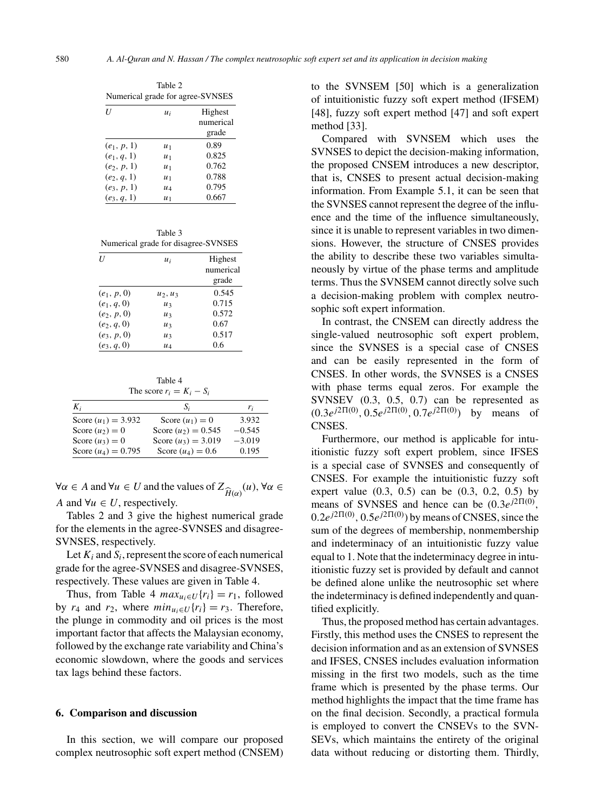| Table 2<br>Numerical grade for agree-SVNSES |       |           |  |  |  |
|---------------------------------------------|-------|-----------|--|--|--|
| $\boldsymbol{U}$                            | $u_i$ | Highest   |  |  |  |
|                                             |       | numerical |  |  |  |
|                                             |       | grade     |  |  |  |
| $(e_1, p, 1)$                               | $u_1$ | 0.89      |  |  |  |
| $(e_1, q, 1)$                               | $u_1$ | 0.825     |  |  |  |
| $(e_2, p, 1)$                               | $u_1$ | 0.762     |  |  |  |
| $(e_2, q, 1)$                               | $u_1$ | 0.788     |  |  |  |
| $(e_3, p, 1)$                               | $u_4$ | 0.795     |  |  |  |
| $(e_3, q, 1)$                               | $u_1$ | 0.667     |  |  |  |

Table 3 Numerical grade for disagree-SVNSES

| U             | $u_i$      | Highest   |
|---------------|------------|-----------|
|               |            | numerical |
|               |            | grade     |
| $(e_1, p, 0)$ | $u_2, u_3$ | 0.545     |
| $(e_1, q, 0)$ | $u_3$      | 0.715     |
| $(e_2, p, 0)$ | $u_3$      | 0.572     |
| $(e_2, q, 0)$ | $u_3$      | 0.67      |
| $(e_3, p, 0)$ | u3         | 0.517     |
| $(e_3, q, 0)$ | $u_4$      | 0.6       |

Table 4 The score  $r_i = K_i - S_i$ 

| $K_i$                 | Si                    | r;       |
|-----------------------|-----------------------|----------|
| Score $(u_1) = 3.932$ | Score $(u_1) = 0$     | 3.932    |
| Score $(u_2) = 0$     | Score $(u_2) = 0.545$ | $-0.545$ |
| Score $(u_3) = 0$     | Score $(u_3) = 3.019$ | $-3.019$ |
| Score $(u_4) = 0.795$ | Score $(u_4) = 0.6$   | 0.195    |

 $\forall \alpha \in A$  and  $\forall u \in U$  and the values of Z  $H(\alpha)$ (u), ∀α ∈ A and  $\forall u \in U$ , respectively.

Tables 2 and 3 give the highest numerical grade for the elements in the agree-SVNSES and disagree-SVNSES, respectively.

Let  $K_i$  and  $S_i$ , represent the score of each numerical grade for the agree-SVNSES and disagree-SVNSES, respectively. These values are given in Table 4.

Thus, from Table 4  $max_{u_i \in U} \{r_i\} = r_1$ , followed by  $r_4$  and  $r_2$ , where  $min_{u_i \in U} \{r_i\} = r_3$ . Therefore, the plunge in commodity and oil prices is the most important factor that affects the Malaysian economy, followed by the exchange rate variability and China's economic slowdown, where the goods and services tax lags behind these factors.

#### **6. Comparison and discussion**

In this section, we will compare our proposed complex neutrosophic soft expert method (CNSEM) to the SVNSEM [50] which is a generalization of intuitionistic fuzzy soft expert method (IFSEM) [48], fuzzy soft expert method [47] and soft expert method [33].

Compared with SVNSEM which uses the SVNSES to depict the decision-making information, the proposed CNSEM introduces a new descriptor, that is, CNSES to present actual decision-making information. From Example 5.1, it can be seen that the SVNSES cannot represent the degree of the influence and the time of the influence simultaneously, since it is unable to represent variables in two dimensions. However, the structure of CNSES provides the ability to describe these two variables simultaneously by virtue of the phase terms and amplitude terms. Thus the SVNSEM cannot directly solve such a decision-making problem with complex neutrosophic soft expert information.

In contrast, the CNSEM can directly address the single-valued neutrosophic soft expert problem, since the SVNSES is a special case of CNSES and can be easily represented in the form of CNSES. In other words, the SVNSES is a CNSES with phase terms equal zeros. For example the SVNSEV (0.3, 0.5, 0.7) can be represented as  $(0.3e^{j2\Pi(0)}, 0.5e^{j2\Pi(0)}, 0.7e^{j2\Pi(0)})$  by means of CNSES.

Furthermore, our method is applicable for intuitionistic fuzzy soft expert problem, since IFSES is a special case of SVNSES and consequently of CNSES. For example the intuitionistic fuzzy soft expert value  $(0.3, 0.5)$  can be  $(0.3, 0.2, 0.5)$  by means of SVNSES and hence can be  $(0.3e^{j2\Pi(0)},$  $0.2e^{j2\Pi(0)}$ ,  $0.5e^{j2\Pi(0)}$ ) by means of CNSES, since the sum of the degrees of membership, nonmembership and indeterminacy of an intuitionistic fuzzy value equal to 1. Note that the indeterminacy degree in intuitionistic fuzzy set is provided by default and cannot be defined alone unlike the neutrosophic set where the indeterminacy is defined independently and quantified explicitly.

Thus, the proposed method has certain advantages. Firstly, this method uses the CNSES to represent the decision information and as an extension of SVNSES and IFSES, CNSES includes evaluation information missing in the first two models, such as the time frame which is presented by the phase terms. Our method highlights the impact that the time frame has on the final decision. Secondly, a practical formula is employed to convert the CNSEVs to the SVN-SEVs, which maintains the entirety of the original data without reducing or distorting them. Thirdly,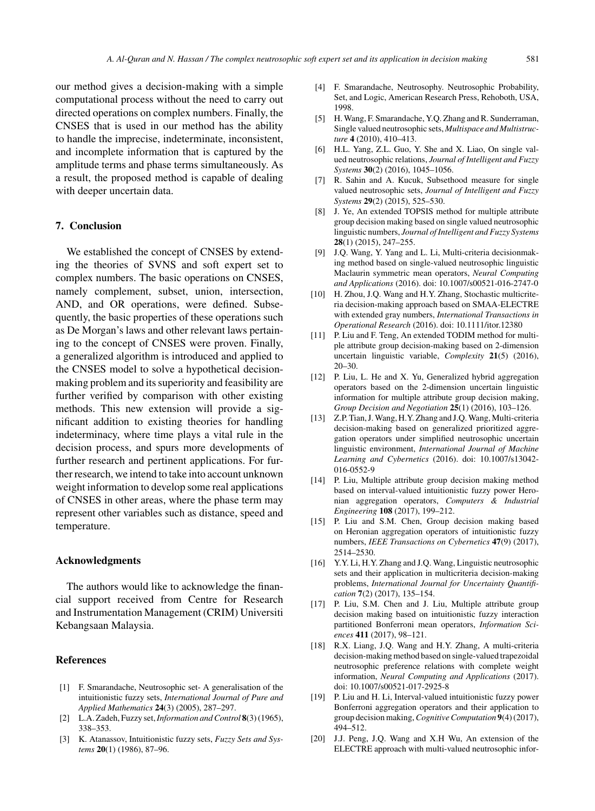our method gives a decision-making with a simple computational process without the need to carry out directed operations on complex numbers. Finally, the CNSES that is used in our method has the ability to handle the imprecise, indeterminate, inconsistent, and incomplete information that is captured by the amplitude terms and phase terms simultaneously. As a result, the proposed method is capable of dealing with deeper uncertain data.

#### **7. Conclusion**

We established the concept of CNSES by extending the theories of SVNS and soft expert set to complex numbers. The basic operations on CNSES, namely complement, subset, union, intersection, AND, and OR operations, were defined. Subsequently, the basic properties of these operations such as De Morgan's laws and other relevant laws pertaining to the concept of CNSES were proven. Finally, a generalized algorithm is introduced and applied to the CNSES model to solve a hypothetical decisionmaking problem and its superiority and feasibility are further verified by comparison with other existing methods. This new extension will provide a significant addition to existing theories for handling indeterminacy, where time plays a vital rule in the decision process, and spurs more developments of further research and pertinent applications. For further research, we intend to take into account unknown weight information to develop some real applications of CNSES in other areas, where the phase term may represent other variables such as distance, speed and temperature.

#### **Acknowledgments**

The authors would like to acknowledge the financial support received from Centre for Research and Instrumentation Management (CRIM) Universiti Kebangsaan Malaysia.

# **References**

- [1] F. Smarandache, Neutrosophic set- A generalisation of the intuitionistic fuzzy sets, *International Journal of Pure and Applied Mathematics* **24**(3) (2005), 287–297.
- [2] L.A. Zadeh, Fuzzy set,*Information and Control* **8**(3) (1965), 338–353.
- [3] K. Atanassov, Intuitionistic fuzzy sets, *Fuzzy Sets and Systems* **20**(1) (1986), 87–96.
- [4] F. Smarandache, Neutrosophy. Neutrosophic Probability, Set, and Logic, American Research Press, Rehoboth, USA, 1998.
- [5] H. Wang, F. Smarandache, Y.Q. Zhang and R. Sunderraman, Single valued neutrosophic sets, *Multispace and Multistructure* **4** (2010), 410–413.
- [6] H.L. Yang, Z.L. Guo, Y. She and X. Liao, On single valued neutrosophic relations, *Journal of Intelligent and Fuzzy Systems* **30**(2) (2016), 1045–1056.
- [7] R. Sahin and A. Kucuk, Subsethood measure for single valued neutrosophic sets, *Journal of Intelligent and Fuzzy Systems* **29**(2) (2015), 525–530.
- [8] J. Ye, An extended TOPSIS method for multiple attribute group decision making based on single valued neutrosophic linguistic numbers, *Journal of Intelligent and Fuzzy Systems* **28**(1) (2015), 247–255.
- [9] J.Q. Wang, Y. Yang and L. Li, Multi-criteria decisionmaking method based on single-valued neutrosophic linguistic Maclaurin symmetric mean operators, *Neural Computing and Applications* (2016). doi: 10.1007/s00521-016-2747-0
- [10] H. Zhou, J.Q. Wang and H.Y. Zhang, Stochastic multicriteria decision-making approach based on SMAA-ELECTRE with extended gray numbers, *International Transactions in Operational Research* (2016). doi: 10.1111/itor.12380
- [11] P. Liu and F. Teng, An extended TODIM method for multiple attribute group decision-making based on 2-dimension uncertain linguistic variable, *Complexity* **21**(5) (2016),  $20 - 30.$
- [12] P. Liu, L. He and X. Yu, Generalized hybrid aggregation operators based on the 2-dimension uncertain linguistic information for multiple attribute group decision making, *Group Decision and Negotiation* **25**(1) (2016), 103–126.
- [13] Z.P. Tian, J. Wang, H.Y. Zhang and J.Q. Wang, Multi-criteria decision-making based on generalized prioritized aggregation operators under simplified neutrosophic uncertain linguistic environment, *International Journal of Machine Learning and Cybernetics* (2016). doi: 10.1007/s13042- 016-0552-9
- [14] P. Liu, Multiple attribute group decision making method based on interval-valued intuitionistic fuzzy power Heronian aggregation operators, *Computers & Industrial Engineering* **108** (2017), 199–212.
- [15] P. Liu and S.M. Chen, Group decision making based on Heronian aggregation operators of intuitionistic fuzzy numbers, *IEEE Transactions on Cybernetics* **47**(9) (2017), 2514–2530.
- [16] Y.Y. Li, H.Y. Zhang and J.Q. Wang, Linguistic neutrosophic sets and their application in multicriteria decision-making problems, *International Journal for Uncertainty Quantification* **7**(2) (2017), 135–154.
- [17] P. Liu, S.M. Chen and J. Liu, Multiple attribute group decision making based on intuitionistic fuzzy interaction partitioned Bonferroni mean operators, *Information Sciences* **411** (2017), 98–121.
- [18] R.X. Liang, J.Q. Wang and H.Y. Zhang, A multi-criteria decision-making method based on single-valued trapezoidal neutrosophic preference relations with complete weight information, *Neural Computing and Applications* (2017). doi: 10.1007/s00521-017-2925-8
- [19] P. Liu and H. Li, Interval-valued intuitionistic fuzzy power Bonferroni aggregation operators and their application to group decision making,*Cognitive Computation* **9**(4) (2017), 494–512.
- [20] J.J. Peng, J.Q. Wang and X.H Wu, An extension of the ELECTRE approach with multi-valued neutrosophic infor-